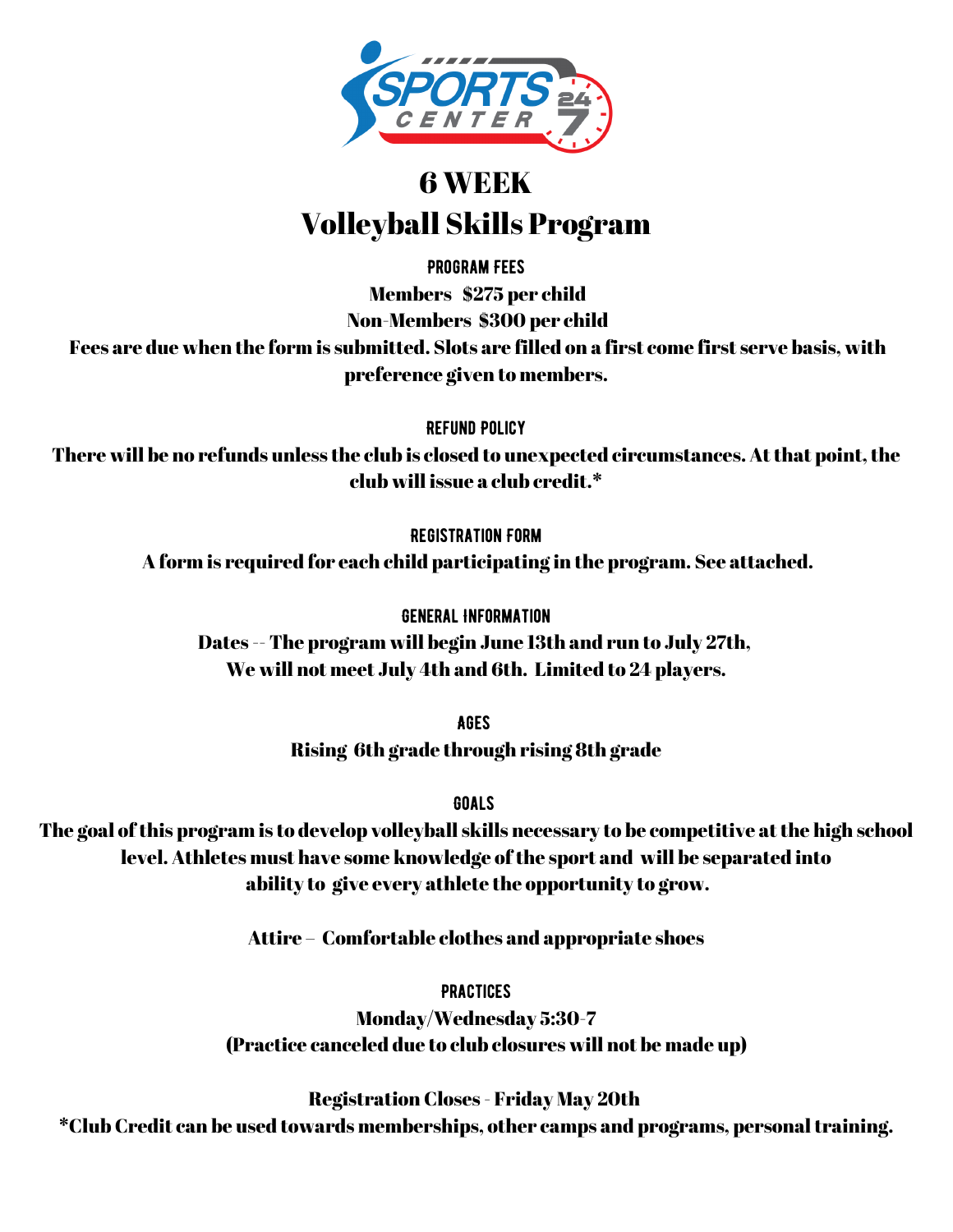

## 6 WEEK Volleyball Skills Program

Program Fees

Members \$275 per child

Non-Members \$300 per child

Fees are due when the form is submitted. Slots are filled on a first come first serve basis, with preference given to members.

Refund Policy

There will be no refunds unless the club is closed to unexpected circumstances. At that point, the club will issue a club credit.\*

Registration Form

A form is required for each child participating in the program. See attached.

General Information

Dates -- The program will begin June 13th and run to July 27th, We will not meet July 4th and 6th. Limited to 24 players.

> Ages Rising 6th grade through rising 8th grade

> > **GOALS**

The goal of this program is to develop volleyball skills necessary to be competitive at the high school level. Athletes must have some knowledge of the sport and will be separated into ability to give every athlete the opportunity to grow.

Attire – Comfortable clothes and appropriate shoes

**PRACTICES** 

Monday/Wednesday 5:30-7 (Practice canceled due to club closures will not be made up)

Registration Closes - Friday May 20th \*Club Credit can be used towards memberships, other camps and programs, personaltraining.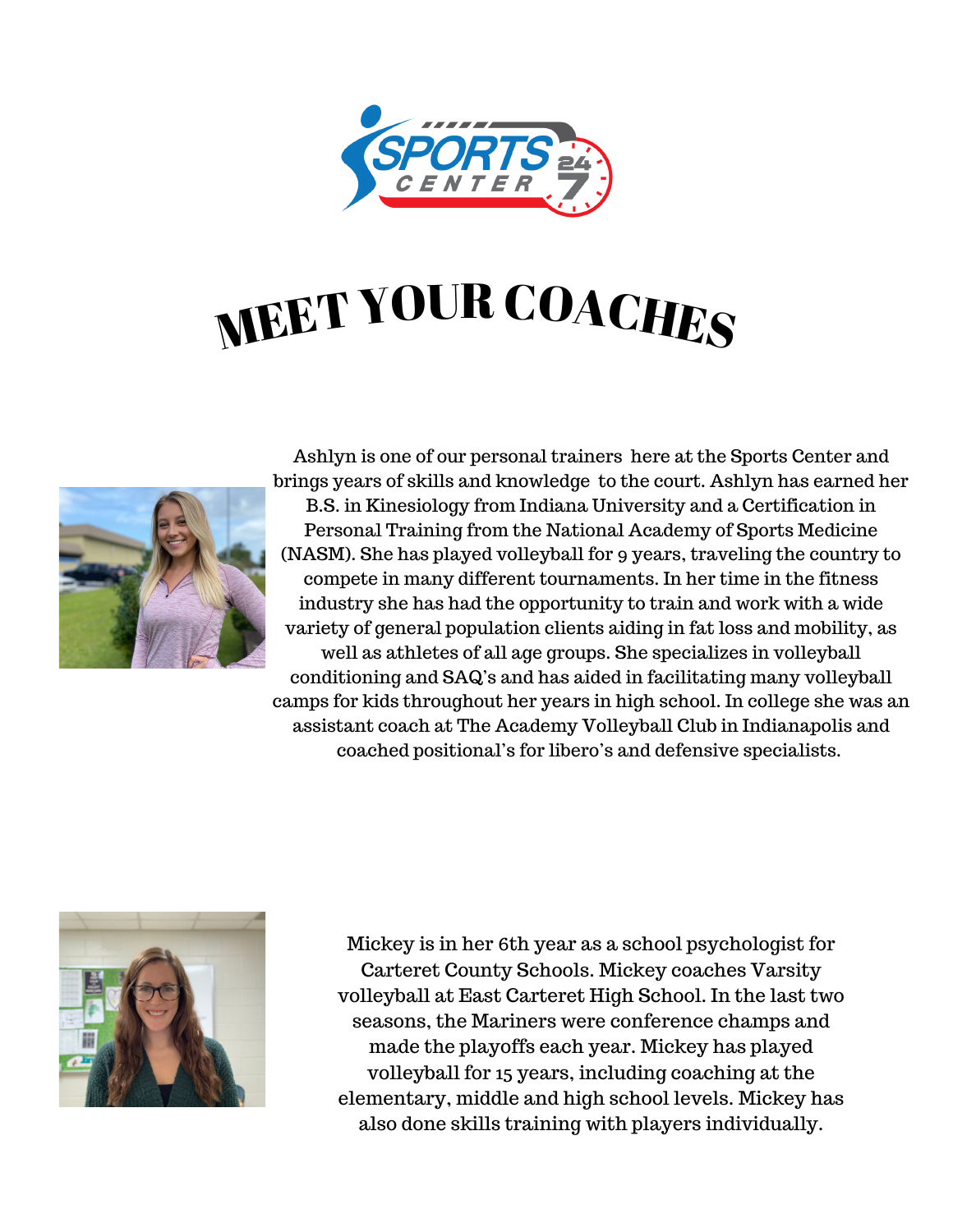

## MEET YOUR COACHES



Ashlyn is one of our personal trainers here at the Sports Center and brings years of skills and knowledge to the court. Ashlyn has earned her B.S. in Kinesiology from Indiana University and a Certification in Personal Training from the National Academy of Sports Medicine (NASM). She has played volleyball for 9 years, traveling the country to compete in many different tournaments. In her time in the fitness industry she has had the opportunity to train and work with a wide variety of general population clients aiding in fat loss and mobility, as well as athletes of all age groups. She specializes in volleyball conditioning and SAQ's and has aided in facilitating many volleyball camps for kids throughout her years in high school. In college she was an assistant coach at The Academy Volleyball Club in Indianapolis and coached positional's for libero's and defensive specialists.



Mickey is in her 6th year as a school psychologist for Carteret County Schools. Mickey coaches Varsity volleyball at East Carteret High School. In the last two seasons, the Mariners were conference champs and made the playoffs each year. Mickey has played volleyball for 15 years, including coaching at the elementary, middle and high school levels. Mickey has also done skills training with players individually.